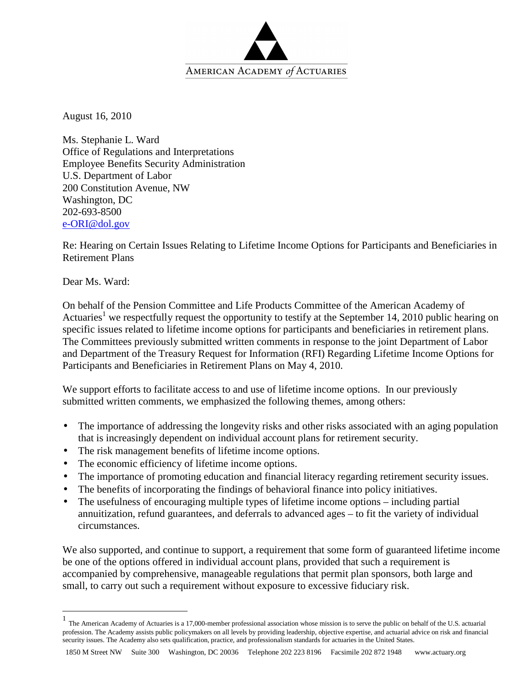

August 16, 2010

Ms. Stephanie L. Ward Office of Regulations and Interpretations Employee Benefits Security Administration U.S. Department of Labor 200 Constitution Avenue, NW Washington, DC 202-693-8500 e-ORI@dol.gov

Re: Hearing on Certain Issues Relating to Lifetime Income Options for Participants and Beneficiaries in Retirement Plans

Dear Ms. Ward:

 $\overline{a}$ 

On behalf of the Pension Committee and Life Products Committee of the American Academy of Actuaries<sup>1</sup> we respectfully request the opportunity to testify at the September 14, 2010 public hearing on specific issues related to lifetime income options for participants and beneficiaries in retirement plans. The Committees previously submitted written comments in response to the joint Department of Labor and Department of the Treasury Request for Information (RFI) Regarding Lifetime Income Options for Participants and Beneficiaries in Retirement Plans on May 4, 2010.

We support efforts to facilitate access to and use of lifetime income options. In our previously submitted written comments, we emphasized the following themes, among others:

- The importance of addressing the longevity risks and other risks associated with an aging population that is increasingly dependent on individual account plans for retirement security.
- The risk management benefits of lifetime income options.
- The economic efficiency of lifetime income options.
- The importance of promoting education and financial literacy regarding retirement security issues.
- The benefits of incorporating the findings of behavioral finance into policy initiatives.
- The usefulness of encouraging multiple types of lifetime income options including partial annuitization, refund guarantees, and deferrals to advanced ages – to fit the variety of individual circumstances.

We also supported, and continue to support, a requirement that some form of guaranteed lifetime income be one of the options offered in individual account plans, provided that such a requirement is accompanied by comprehensive, manageable regulations that permit plan sponsors, both large and small, to carry out such a requirement without exposure to excessive fiduciary risk.

<sup>1</sup> The American Academy of Actuaries is a 17,000-member professional association whose mission is to serve the public on behalf of the U.S. actuarial profession. The Academy assists public policymakers on all levels by providing leadership, objective expertise, and actuarial advice on risk and financial security issues. The Academy also sets qualification, practice, and professionalism standards for actuaries in the United States.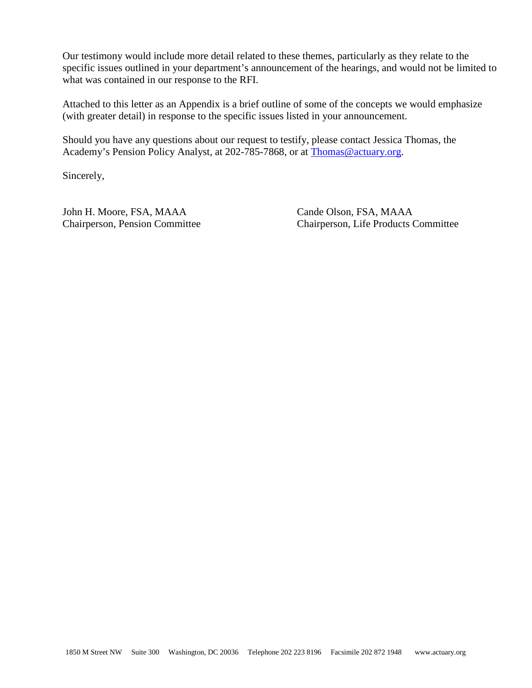Our testimony would include more detail related to these themes, particularly as they relate to the specific issues outlined in your department's announcement of the hearings, and would not be limited to what was contained in our response to the RFI.

Attached to this letter as an Appendix is a brief outline of some of the concepts we would emphasize (with greater detail) in response to the specific issues listed in your announcement.

Should you have any questions about our request to testify, please contact Jessica Thomas, the Academy's Pension Policy Analyst, at 202-785-7868, or at Thomas@actuary.org.

Sincerely,

John H. Moore, FSA, MAAA Chairperson, Pension Committee Cande Olson, FSA, MAAA Chairperson, Life Products Committee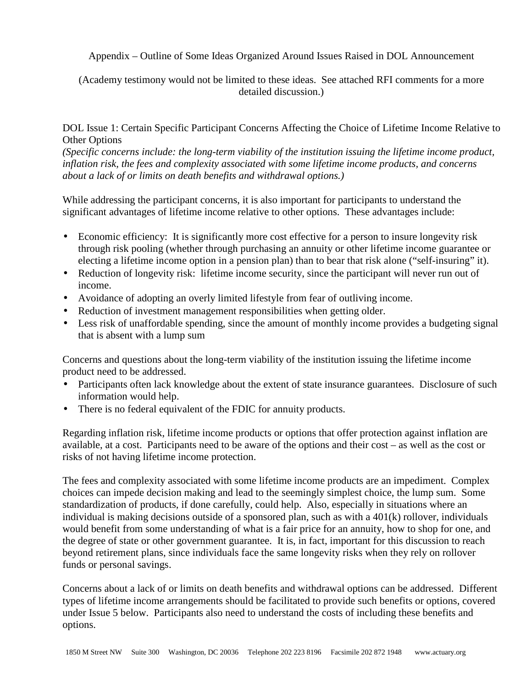Appendix – Outline of Some Ideas Organized Around Issues Raised in DOL Announcement

(Academy testimony would not be limited to these ideas. See attached RFI comments for a more detailed discussion.)

DOL Issue 1: Certain Specific Participant Concerns Affecting the Choice of Lifetime Income Relative to Other Options

*(Specific concerns include: the long-term viability of the institution issuing the lifetime income product, inflation risk, the fees and complexity associated with some lifetime income products, and concerns about a lack of or limits on death benefits and withdrawal options.)* 

While addressing the participant concerns, it is also important for participants to understand the significant advantages of lifetime income relative to other options. These advantages include:

- Economic efficiency: It is significantly more cost effective for a person to insure longevity risk through risk pooling (whether through purchasing an annuity or other lifetime income guarantee or electing a lifetime income option in a pension plan) than to bear that risk alone ("self-insuring" it).
- Reduction of longevity risk: lifetime income security, since the participant will never run out of income.
- Avoidance of adopting an overly limited lifestyle from fear of outliving income.
- Reduction of investment management responsibilities when getting older.
- Less risk of unaffordable spending, since the amount of monthly income provides a budgeting signal that is absent with a lump sum

Concerns and questions about the long-term viability of the institution issuing the lifetime income product need to be addressed.

- Participants often lack knowledge about the extent of state insurance guarantees. Disclosure of such information would help.
- There is no federal equivalent of the FDIC for annuity products.

Regarding inflation risk, lifetime income products or options that offer protection against inflation are available, at a cost. Participants need to be aware of the options and their cost – as well as the cost or risks of not having lifetime income protection.

The fees and complexity associated with some lifetime income products are an impediment. Complex choices can impede decision making and lead to the seemingly simplest choice, the lump sum. Some standardization of products, if done carefully, could help. Also, especially in situations where an individual is making decisions outside of a sponsored plan, such as with a 401(k) rollover, individuals would benefit from some understanding of what is a fair price for an annuity, how to shop for one, and the degree of state or other government guarantee. It is, in fact, important for this discussion to reach beyond retirement plans, since individuals face the same longevity risks when they rely on rollover funds or personal savings.

Concerns about a lack of or limits on death benefits and withdrawal options can be addressed. Different types of lifetime income arrangements should be facilitated to provide such benefits or options, covered under Issue 5 below. Participants also need to understand the costs of including these benefits and options.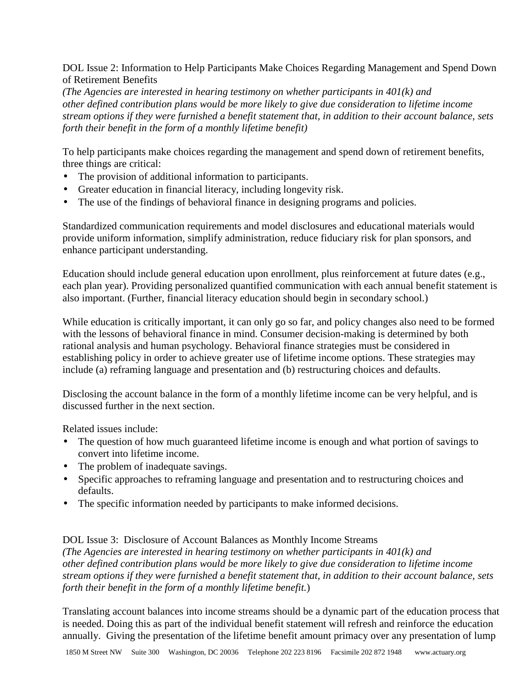DOL Issue 2: Information to Help Participants Make Choices Regarding Management and Spend Down of Retirement Benefits

*(The Agencies are interested in hearing testimony on whether participants in 401(k) and other defined contribution plans would be more likely to give due consideration to lifetime income stream options if they were furnished a benefit statement that, in addition to their account balance, sets forth their benefit in the form of a monthly lifetime benefit)* 

To help participants make choices regarding the management and spend down of retirement benefits, three things are critical:

- The provision of additional information to participants.
- Greater education in financial literacy, including longevity risk.
- The use of the findings of behavioral finance in designing programs and policies.

Standardized communication requirements and model disclosures and educational materials would provide uniform information, simplify administration, reduce fiduciary risk for plan sponsors, and enhance participant understanding.

Education should include general education upon enrollment, plus reinforcement at future dates (e.g., each plan year). Providing personalized quantified communication with each annual benefit statement is also important. (Further, financial literacy education should begin in secondary school.)

While education is critically important, it can only go so far, and policy changes also need to be formed with the lessons of behavioral finance in mind. Consumer decision-making is determined by both rational analysis and human psychology. Behavioral finance strategies must be considered in establishing policy in order to achieve greater use of lifetime income options. These strategies may include (a) reframing language and presentation and (b) restructuring choices and defaults.

Disclosing the account balance in the form of a monthly lifetime income can be very helpful, and is discussed further in the next section.

Related issues include:

- The question of how much guaranteed lifetime income is enough and what portion of savings to convert into lifetime income.
- The problem of inadequate savings.
- Specific approaches to reframing language and presentation and to restructuring choices and defaults.
- The specific information needed by participants to make informed decisions.

DOL Issue 3: Disclosure of Account Balances as Monthly Income Streams *(The Agencies are interested in hearing testimony on whether participants in 401(k) and other defined contribution plans would be more likely to give due consideration to lifetime income stream options if they were furnished a benefit statement that, in addition to their account balance, sets forth their benefit in the form of a monthly lifetime benefit.*)

Translating account balances into income streams should be a dynamic part of the education process that is needed. Doing this as part of the individual benefit statement will refresh and reinforce the education annually. Giving the presentation of the lifetime benefit amount primacy over any presentation of lump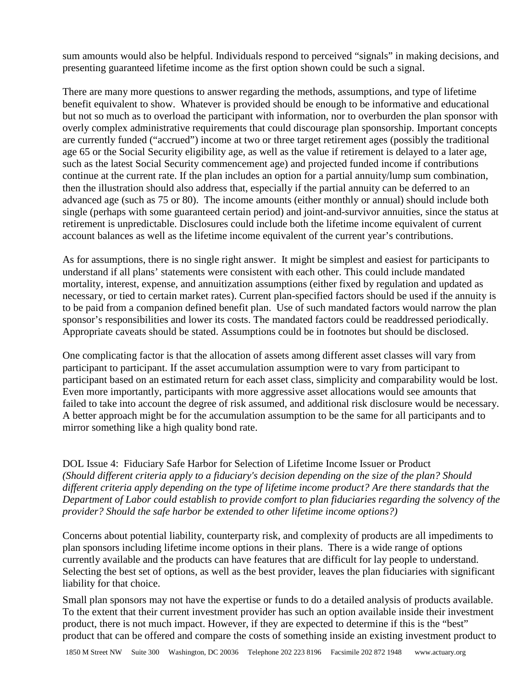sum amounts would also be helpful. Individuals respond to perceived "signals" in making decisions, and presenting guaranteed lifetime income as the first option shown could be such a signal.

There are many more questions to answer regarding the methods, assumptions, and type of lifetime benefit equivalent to show. Whatever is provided should be enough to be informative and educational but not so much as to overload the participant with information, nor to overburden the plan sponsor with overly complex administrative requirements that could discourage plan sponsorship. Important concepts are currently funded ("accrued") income at two or three target retirement ages (possibly the traditional age 65 or the Social Security eligibility age, as well as the value if retirement is delayed to a later age, such as the latest Social Security commencement age) and projected funded income if contributions continue at the current rate. If the plan includes an option for a partial annuity/lump sum combination, then the illustration should also address that, especially if the partial annuity can be deferred to an advanced age (such as 75 or 80). The income amounts (either monthly or annual) should include both single (perhaps with some guaranteed certain period) and joint-and-survivor annuities, since the status at retirement is unpredictable. Disclosures could include both the lifetime income equivalent of current account balances as well as the lifetime income equivalent of the current year's contributions.

As for assumptions, there is no single right answer. It might be simplest and easiest for participants to understand if all plans' statements were consistent with each other. This could include mandated mortality, interest, expense, and annuitization assumptions (either fixed by regulation and updated as necessary, or tied to certain market rates). Current plan-specified factors should be used if the annuity is to be paid from a companion defined benefit plan. Use of such mandated factors would narrow the plan sponsor's responsibilities and lower its costs. The mandated factors could be readdressed periodically. Appropriate caveats should be stated. Assumptions could be in footnotes but should be disclosed.

One complicating factor is that the allocation of assets among different asset classes will vary from participant to participant. If the asset accumulation assumption were to vary from participant to participant based on an estimated return for each asset class, simplicity and comparability would be lost. Even more importantly, participants with more aggressive asset allocations would see amounts that failed to take into account the degree of risk assumed, and additional risk disclosure would be necessary. A better approach might be for the accumulation assumption to be the same for all participants and to mirror something like a high quality bond rate.

DOL Issue 4: Fiduciary Safe Harbor for Selection of Lifetime Income Issuer or Product *(Should different criteria apply to a fiduciary's decision depending on the size of the plan? Should different criteria apply depending on the type of lifetime income product? Are there standards that the Department of Labor could establish to provide comfort to plan fiduciaries regarding the solvency of the provider? Should the safe harbor be extended to other lifetime income options?)* 

Concerns about potential liability, counterparty risk, and complexity of products are all impediments to plan sponsors including lifetime income options in their plans. There is a wide range of options currently available and the products can have features that are difficult for lay people to understand. Selecting the best set of options, as well as the best provider, leaves the plan fiduciaries with significant liability for that choice.

Small plan sponsors may not have the expertise or funds to do a detailed analysis of products available. To the extent that their current investment provider has such an option available inside their investment product, there is not much impact. However, if they are expected to determine if this is the "best" product that can be offered and compare the costs of something inside an existing investment product to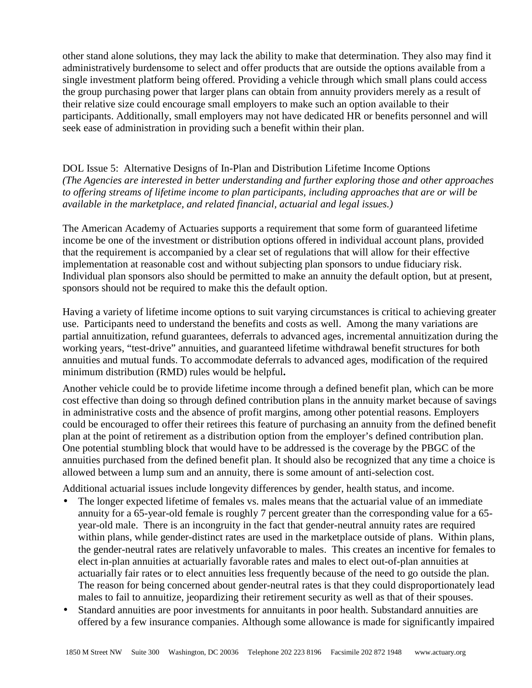other stand alone solutions, they may lack the ability to make that determination. They also may find it administratively burdensome to select and offer products that are outside the options available from a single investment platform being offered. Providing a vehicle through which small plans could access the group purchasing power that larger plans can obtain from annuity providers merely as a result of their relative size could encourage small employers to make such an option available to their participants. Additionally, small employers may not have dedicated HR or benefits personnel and will seek ease of administration in providing such a benefit within their plan.

## DOL Issue 5: Alternative Designs of In-Plan and Distribution Lifetime Income Options *(The Agencies are interested in better understanding and further exploring those and other approaches to offering streams of lifetime income to plan participants, including approaches that are or will be available in the marketplace, and related financial, actuarial and legal issues.)*

The American Academy of Actuaries supports a requirement that some form of guaranteed lifetime income be one of the investment or distribution options offered in individual account plans, provided that the requirement is accompanied by a clear set of regulations that will allow for their effective implementation at reasonable cost and without subjecting plan sponsors to undue fiduciary risk. Individual plan sponsors also should be permitted to make an annuity the default option, but at present, sponsors should not be required to make this the default option.

Having a variety of lifetime income options to suit varying circumstances is critical to achieving greater use. Participants need to understand the benefits and costs as well. Among the many variations are partial annuitization, refund guarantees, deferrals to advanced ages, incremental annuitization during the working years, "test-drive" annuities, and guaranteed lifetime withdrawal benefit structures for both annuities and mutual funds. To accommodate deferrals to advanced ages, modification of the required minimum distribution (RMD) rules would be helpful**.** 

Another vehicle could be to provide lifetime income through a defined benefit plan, which can be more cost effective than doing so through defined contribution plans in the annuity market because of savings in administrative costs and the absence of profit margins, among other potential reasons. Employers could be encouraged to offer their retirees this feature of purchasing an annuity from the defined benefit plan at the point of retirement as a distribution option from the employer's defined contribution plan. One potential stumbling block that would have to be addressed is the coverage by the PBGC of the annuities purchased from the defined benefit plan. It should also be recognized that any time a choice is allowed between a lump sum and an annuity, there is some amount of anti-selection cost.

Additional actuarial issues include longevity differences by gender, health status, and income.

- The longer expected lifetime of females vs. males means that the actuarial value of an immediate annuity for a 65-year-old female is roughly 7 percent greater than the corresponding value for a 65 year-old male. There is an incongruity in the fact that gender-neutral annuity rates are required within plans, while gender-distinct rates are used in the marketplace outside of plans. Within plans, the gender-neutral rates are relatively unfavorable to males. This creates an incentive for females to elect in-plan annuities at actuarially favorable rates and males to elect out-of-plan annuities at actuarially fair rates or to elect annuities less frequently because of the need to go outside the plan. The reason for being concerned about gender-neutral rates is that they could disproportionately lead males to fail to annuitize, jeopardizing their retirement security as well as that of their spouses.
- Standard annuities are poor investments for annuitants in poor health. Substandard annuities are offered by a few insurance companies. Although some allowance is made for significantly impaired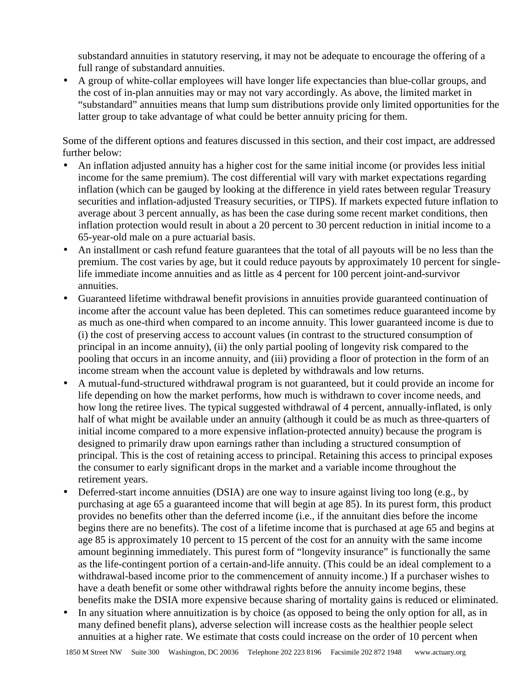substandard annuities in statutory reserving, it may not be adequate to encourage the offering of a full range of substandard annuities.

• A group of white-collar employees will have longer life expectancies than blue-collar groups, and the cost of in-plan annuities may or may not vary accordingly. As above, the limited market in "substandard" annuities means that lump sum distributions provide only limited opportunities for the latter group to take advantage of what could be better annuity pricing for them.

Some of the different options and features discussed in this section, and their cost impact, are addressed further below:

- An inflation adjusted annuity has a higher cost for the same initial income (or provides less initial income for the same premium). The cost differential will vary with market expectations regarding inflation (which can be gauged by looking at the difference in yield rates between regular Treasury securities and inflation-adjusted Treasury securities, or TIPS). If markets expected future inflation to average about 3 percent annually, as has been the case during some recent market conditions, then inflation protection would result in about a 20 percent to 30 percent reduction in initial income to a 65-year-old male on a pure actuarial basis.
- An installment or cash refund feature guarantees that the total of all payouts will be no less than the premium. The cost varies by age, but it could reduce payouts by approximately 10 percent for singlelife immediate income annuities and as little as 4 percent for 100 percent joint-and-survivor annuities.
- Guaranteed lifetime withdrawal benefit provisions in annuities provide guaranteed continuation of income after the account value has been depleted. This can sometimes reduce guaranteed income by as much as one-third when compared to an income annuity. This lower guaranteed income is due to (i) the cost of preserving access to account values (in contrast to the structured consumption of principal in an income annuity), (ii) the only partial pooling of longevity risk compared to the pooling that occurs in an income annuity, and (iii) providing a floor of protection in the form of an income stream when the account value is depleted by withdrawals and low returns.
- A mutual-fund-structured withdrawal program is not guaranteed, but it could provide an income for life depending on how the market performs, how much is withdrawn to cover income needs, and how long the retiree lives. The typical suggested withdrawal of 4 percent, annually-inflated, is only half of what might be available under an annuity (although it could be as much as three-quarters of initial income compared to a more expensive inflation-protected annuity) because the program is designed to primarily draw upon earnings rather than including a structured consumption of principal. This is the cost of retaining access to principal. Retaining this access to principal exposes the consumer to early significant drops in the market and a variable income throughout the retirement years.
- Deferred-start income annuities (DSIA) are one way to insure against living too long (e.g., by purchasing at age 65 a guaranteed income that will begin at age 85). In its purest form, this product provides no benefits other than the deferred income (i.e., if the annuitant dies before the income begins there are no benefits). The cost of a lifetime income that is purchased at age 65 and begins at age 85 is approximately 10 percent to 15 percent of the cost for an annuity with the same income amount beginning immediately. This purest form of "longevity insurance" is functionally the same as the life-contingent portion of a certain-and-life annuity. (This could be an ideal complement to a withdrawal-based income prior to the commencement of annuity income.) If a purchaser wishes to have a death benefit or some other withdrawal rights before the annuity income begins, these benefits make the DSIA more expensive because sharing of mortality gains is reduced or eliminated.
- In any situation where annuitization is by choice (as opposed to being the only option for all, as in many defined benefit plans), adverse selection will increase costs as the healthier people select annuities at a higher rate. We estimate that costs could increase on the order of 10 percent when